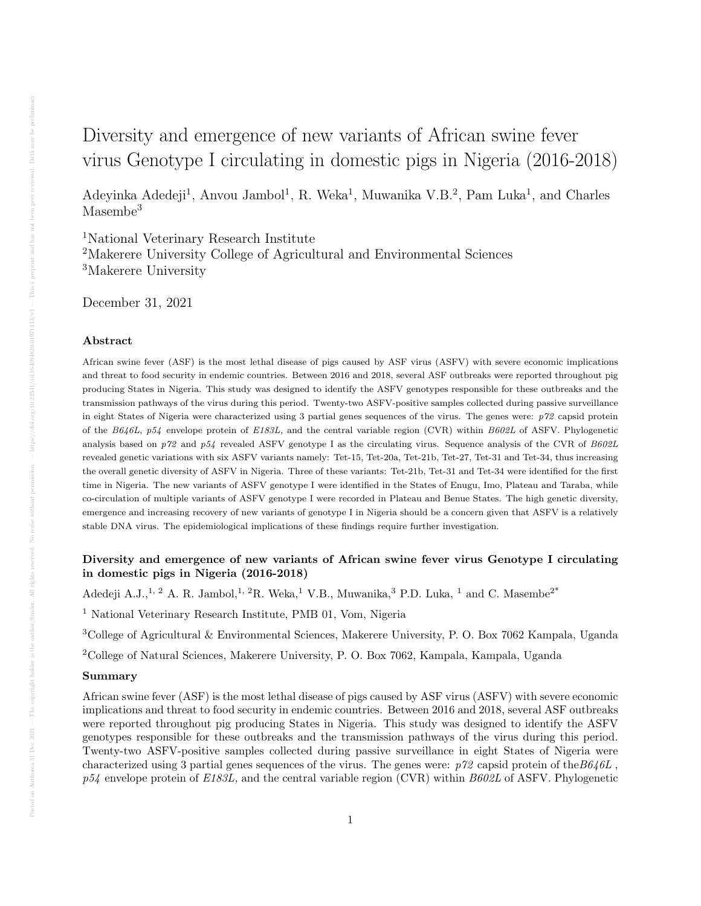# Diversity and emergence of new variants of African swine fever virus Genotype I circulating in domestic pigs in Nigeria (2016-2018)

Adeyinka Adedeji<sup>1</sup>, Anvou Jambol<sup>1</sup>, R. Weka<sup>1</sup>, Muwanika V.B.<sup>2</sup>, Pam Luka<sup>1</sup>, and Charles Masembe<sup>3</sup>

<sup>1</sup>National Veterinary Research Institute <sup>2</sup>Makerere University College of Agricultural and Environmental Sciences <sup>3</sup>Makerere University

December 31, 2021

## Abstract

African swine fever (ASF) is the most lethal disease of pigs caused by ASF virus (ASFV) with severe economic implications and threat to food security in endemic countries. Between 2016 and 2018, several ASF outbreaks were reported throughout pig producing States in Nigeria. This study was designed to identify the ASFV genotypes responsible for these outbreaks and the transmission pathways of the virus during this period. Twenty-two ASFV-positive samples collected during passive surveillance in eight States of Nigeria were characterized using 3 partial genes sequences of the virus. The genes were:  $p\gamma$ 2 capsid protein of the B646L, p54 envelope protein of E183L, and the central variable region (CVR) within B602L of ASFV. Phylogenetic analysis based on  $p72$  and  $p54$  revealed ASFV genotype I as the circulating virus. Sequence analysis of the CVR of  $B602L$ revealed genetic variations with six ASFV variants namely: Tet-15, Tet-20a, Tet-21b, Tet-27, Tet-31 and Tet-34, thus increasing the overall genetic diversity of ASFV in Nigeria. Three of these variants: Tet-21b, Tet-31 and Tet-34 were identified for the first time in Nigeria. The new variants of ASFV genotype I were identified in the States of Enugu, Imo, Plateau and Taraba, while co-circulation of multiple variants of ASFV genotype I were recorded in Plateau and Benue States. The high genetic diversity, emergence and increasing recovery of new variants of genotype I in Nigeria should be a concern given that ASFV is a relatively stable DNA virus. The epidemiological implications of these findings require further investigation.

# Diversity and emergence of new variants of African swine fever virus Genotype I circulating in domestic pigs in Nigeria (2016-2018)

Adedeji A.J., <sup>1, 2</sup> A. R. Jambol, <sup>1, 2</sup>R. Weka, <sup>1</sup> V.B., Muwanika, <sup>3</sup> P.D. Luka, <sup>1</sup> and C. Masembe<sup>2\*</sup>

<sup>1</sup> National Veterinary Research Institute, PMB 01, Vom, Nigeria

<sup>3</sup>College of Agricultural & Environmental Sciences, Makerere University, P. O. Box 7062 Kampala, Uganda

<sup>2</sup>College of Natural Sciences, Makerere University, P. O. Box 7062, Kampala, Kampala, Uganda

#### Summary

African swine fever (ASF) is the most lethal disease of pigs caused by ASF virus (ASFV) with severe economic implications and threat to food security in endemic countries. Between 2016 and 2018, several ASF outbreaks were reported throughout pig producing States in Nigeria. This study was designed to identify the ASFV genotypes responsible for these outbreaks and the transmission pathways of the virus during this period. Twenty-two ASFV-positive samples collected during passive surveillance in eight States of Nigeria were characterized using 3 partial genes sequences of the virus. The genes were:  $p72$  capsid protein of the  $B646L$ ,  $p54$  envelope protein of  $E183L$ , and the central variable region (CVR) within  $B602L$  of ASFV. Phylogenetic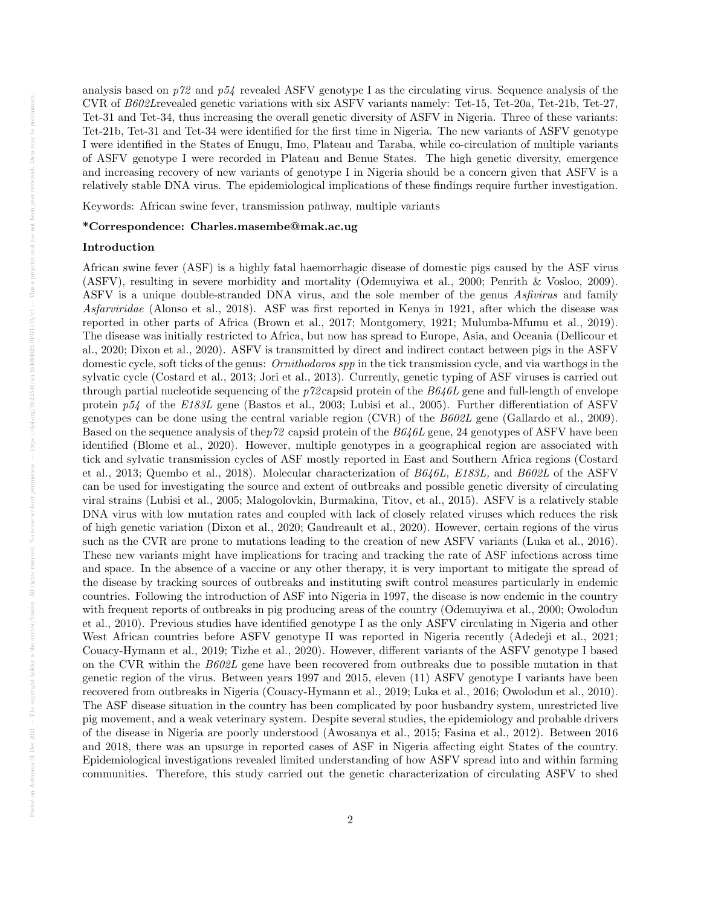analysis based on  $p72$  and  $p54$  revealed ASFV genotype I as the circulating virus. Sequence analysis of the CVR of B602Lrevealed genetic variations with six ASFV variants namely: Tet-15, Tet-20a, Tet-21b, Tet-27, Tet-31 and Tet-34, thus increasing the overall genetic diversity of ASFV in Nigeria. Three of these variants: Tet-21b, Tet-31 and Tet-34 were identified for the first time in Nigeria. The new variants of ASFV genotype I were identified in the States of Enugu, Imo, Plateau and Taraba, while co-circulation of multiple variants of ASFV genotype I were recorded in Plateau and Benue States. The high genetic diversity, emergence and increasing recovery of new variants of genotype I in Nigeria should be a concern given that ASFV is a relatively stable DNA virus. The epidemiological implications of these findings require further investigation.

Keywords: African swine fever, transmission pathway, multiple variants

# \*Correspondence: Charles.masembe@mak.ac.ug

# Introduction

African swine fever (ASF) is a highly fatal haemorrhagic disease of domestic pigs caused by the ASF virus (ASFV), resulting in severe morbidity and mortality (Odemuyiwa et al., 2000; Penrith & Vosloo, 2009). ASFV is a unique double-stranded DNA virus, and the sole member of the genus Asfivirus and family Asfarviridae (Alonso et al., 2018). ASF was first reported in Kenya in 1921, after which the disease was reported in other parts of Africa (Brown et al., 2017; Montgomery, 1921; Mulumba-Mfumu et al., 2019). The disease was initially restricted to Africa, but now has spread to Europe, Asia, and Oceania (Dellicour et al., 2020; Dixon et al., 2020). ASFV is transmitted by direct and indirect contact between pigs in the ASFV domestic cycle, soft ticks of the genus: *Ornithodoros spp* in the tick transmission cycle, and via warthogs in the sylvatic cycle (Costard et al., 2013; Jori et al., 2013). Currently, genetic typing of ASF viruses is carried out through partial nucleotide sequencing of the  $p72$  capsid protein of the  $B646L$  gene and full-length of envelope protein p54 of the E183L gene (Bastos et al., 2003; Lubisi et al., 2005). Further differentiation of ASFV genotypes can be done using the central variable region (CVR) of the  $B602L$  gene (Gallardo et al., 2009). Based on the sequence analysis of thep72 capsid protein of the B646L gene, 24 genotypes of ASFV have been identified (Blome et al., 2020). However, multiple genotypes in a geographical region are associated with tick and sylvatic transmission cycles of ASF mostly reported in East and Southern Africa regions (Costard et al., 2013; Quembo et al., 2018). Molecular characterization of B646L, E183L, and B602L of the ASFV can be used for investigating the source and extent of outbreaks and possible genetic diversity of circulating viral strains (Lubisi et al., 2005; Malogolovkin, Burmakina, Titov, et al., 2015). ASFV is a relatively stable DNA virus with low mutation rates and coupled with lack of closely related viruses which reduces the risk of high genetic variation (Dixon et al., 2020; Gaudreault et al., 2020). However, certain regions of the virus such as the CVR are prone to mutations leading to the creation of new ASFV variants (Luka et al., 2016). These new variants might have implications for tracing and tracking the rate of ASF infections across time and space. In the absence of a vaccine or any other therapy, it is very important to mitigate the spread of the disease by tracking sources of outbreaks and instituting swift control measures particularly in endemic countries. Following the introduction of ASF into Nigeria in 1997, the disease is now endemic in the country with frequent reports of outbreaks in pig producing areas of the country (Odemuyiwa et al., 2000; Owolodun et al., 2010). Previous studies have identified genotype I as the only ASFV circulating in Nigeria and other West African countries before ASFV genotype II was reported in Nigeria recently (Adedeji et al., 2021; Couacy-Hymann et al., 2019; Tizhe et al., 2020). However, different variants of the ASFV genotype I based on the CVR within the B602L gene have been recovered from outbreaks due to possible mutation in that genetic region of the virus. Between years 1997 and 2015, eleven (11) ASFV genotype I variants have been recovered from outbreaks in Nigeria (Couacy-Hymann et al., 2019; Luka et al., 2016; Owolodun et al., 2010). The ASF disease situation in the country has been complicated by poor husbandry system, unrestricted live pig movement, and a weak veterinary system. Despite several studies, the epidemiology and probable drivers of the disease in Nigeria are poorly understood (Awosanya et al., 2015; Fasina et al., 2012). Between 2016 and 2018, there was an upsurge in reported cases of ASF in Nigeria affecting eight States of the country. Epidemiological investigations revealed limited understanding of how ASFV spread into and within farming communities. Therefore, this study carried out the genetic characterization of circulating ASFV to shed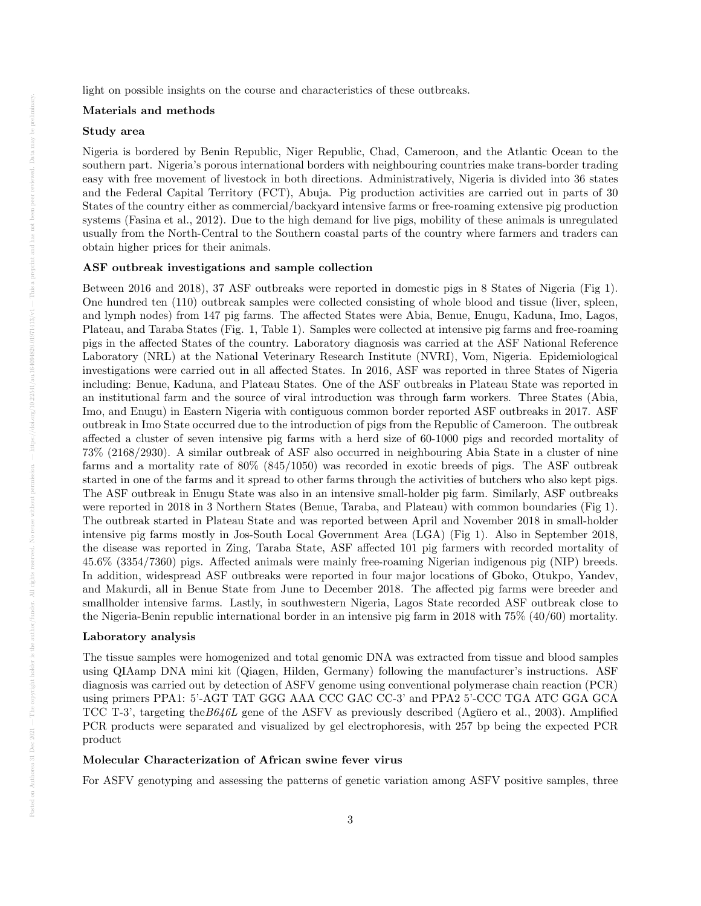light on possible insights on the course and characteristics of these outbreaks.

## Materials and methods

## Study area

Nigeria is bordered by Benin Republic, Niger Republic, Chad, Cameroon, and the Atlantic Ocean to the southern part. Nigeria's porous international borders with neighbouring countries make trans-border trading easy with free movement of livestock in both directions. Administratively, Nigeria is divided into 36 states and the Federal Capital Territory (FCT), Abuja. Pig production activities are carried out in parts of 30 States of the country either as commercial/backyard intensive farms or free-roaming extensive pig production systems (Fasina et al., 2012). Due to the high demand for live pigs, mobility of these animals is unregulated usually from the North-Central to the Southern coastal parts of the country where farmers and traders can obtain higher prices for their animals.

#### ASF outbreak investigations and sample collection

Between 2016 and 2018), 37 ASF outbreaks were reported in domestic pigs in 8 States of Nigeria (Fig 1). One hundred ten (110) outbreak samples were collected consisting of whole blood and tissue (liver, spleen, and lymph nodes) from 147 pig farms. The affected States were Abia, Benue, Enugu, Kaduna, Imo, Lagos, Plateau, and Taraba States (Fig. 1, Table 1). Samples were collected at intensive pig farms and free-roaming pigs in the affected States of the country. Laboratory diagnosis was carried at the ASF National Reference Laboratory (NRL) at the National Veterinary Research Institute (NVRI), Vom, Nigeria. Epidemiological investigations were carried out in all affected States. In 2016, ASF was reported in three States of Nigeria including: Benue, Kaduna, and Plateau States. One of the ASF outbreaks in Plateau State was reported in an institutional farm and the source of viral introduction was through farm workers. Three States (Abia, Imo, and Enugu) in Eastern Nigeria with contiguous common border reported ASF outbreaks in 2017. ASF outbreak in Imo State occurred due to the introduction of pigs from the Republic of Cameroon. The outbreak affected a cluster of seven intensive pig farms with a herd size of 60-1000 pigs and recorded mortality of 73% (2168/2930). A similar outbreak of ASF also occurred in neighbouring Abia State in a cluster of nine farms and a mortality rate of 80% (845/1050) was recorded in exotic breeds of pigs. The ASF outbreak started in one of the farms and it spread to other farms through the activities of butchers who also kept pigs. The ASF outbreak in Enugu State was also in an intensive small-holder pig farm. Similarly, ASF outbreaks were reported in 2018 in 3 Northern States (Benue, Taraba, and Plateau) with common boundaries (Fig 1). The outbreak started in Plateau State and was reported between April and November 2018 in small-holder intensive pig farms mostly in Jos-South Local Government Area (LGA) (Fig 1). Also in September 2018, the disease was reported in Zing, Taraba State, ASF affected 101 pig farmers with recorded mortality of 45.6% (3354/7360) pigs. Affected animals were mainly free-roaming Nigerian indigenous pig (NIP) breeds. In addition, widespread ASF outbreaks were reported in four major locations of Gboko, Otukpo, Yandev, and Makurdi, all in Benue State from June to December 2018. The affected pig farms were breeder and smallholder intensive farms. Lastly, in southwestern Nigeria, Lagos State recorded ASF outbreak close to the Nigeria-Benin republic international border in an intensive pig farm in 2018 with 75% (40/60) mortality.

## Laboratory analysis

The tissue samples were homogenized and total genomic DNA was extracted from tissue and blood samples using QIAamp DNA mini kit (Qiagen, Hilden, Germany) following the manufacturer's instructions. ASF diagnosis was carried out by detection of ASFV genome using conventional polymerase chain reaction (PCR) using primers PPA1: 5'-AGT TAT GGG AAA CCC GAC CC-3' and PPA2 5'-CCC TGA ATC GGA GCA TCC T-3', targeting the  $B646L$  gene of the ASFV as previously described (Aguero et al., 2003). Amplified PCR products were separated and visualized by gel electrophoresis, with 257 bp being the expected PCR product

# Molecular Characterization of African swine fever virus

For ASFV genotyping and assessing the patterns of genetic variation among ASFV positive samples, three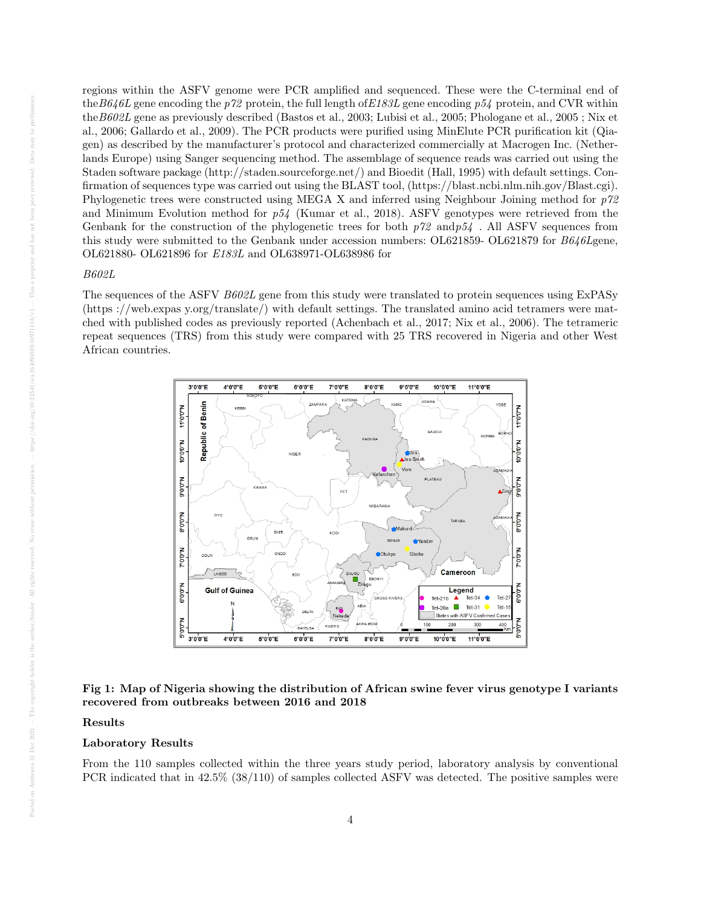regions within the ASFV genome were PCR amplified and sequenced. These were the C-terminal end of the B646L gene encoding the p72 protein, the full length of E183L gene encoding p54 protein, and CVR within theB602L gene as previously described (Bastos et al., 2003; Lubisi et al., 2005; Phologane et al., 2005 ; Nix et al., 2006; Gallardo et al., 2009). The PCR products were purified using MinElute PCR purification kit (Qiagen) as described by the manufacturer's protocol and characterized commercially at Macrogen Inc. (Netherlands Europe) using Sanger sequencing method. The assemblage of sequence reads was carried out using the Staden software package (http://staden.sourceforge.net/) and Bioedit (Hall, 1995) with default settings. Confirmation of sequences type was carried out using the BLAST tool, (https://blast.ncbi.nlm.nih.gov/Blast.cgi). Phylogenetic trees were constructed using MEGA X and inferred using Neighbour Joining method for p72 and Minimum Evolution method for  $p54$  (Kumar et al., 2018). ASFV genotypes were retrieved from the Genbank for the construction of the phylogenetic trees for both  $p\gamma$  and  $p54$ . All ASFV sequences from this study were submitted to the Genbank under accession numbers: OL621859- OL621879 for B646Lgene, OL621880- OL621896 for E183L and OL638971-OL638986 for

## B602L

The sequences of the ASFV B602L gene from this study were translated to protein sequences using ExPASy (https ://web.expas y.org/translate/) with default settings. The translated amino acid tetramers were matched with published codes as previously reported (Achenbach et al., 2017; Nix et al., 2006). The tetrameric repeat sequences (TRS) from this study were compared with 25 TRS recovered in Nigeria and other West African countries.



# Fig 1: Map of Nigeria showing the distribution of African swine fever virus genotype I variants recovered from outbreaks between 2016 and 2018

## Results

# Laboratory Results

From the 110 samples collected within the three years study period, laboratory analysis by conventional PCR indicated that in 42.5% (38/110) of samples collected ASFV was detected. The positive samples were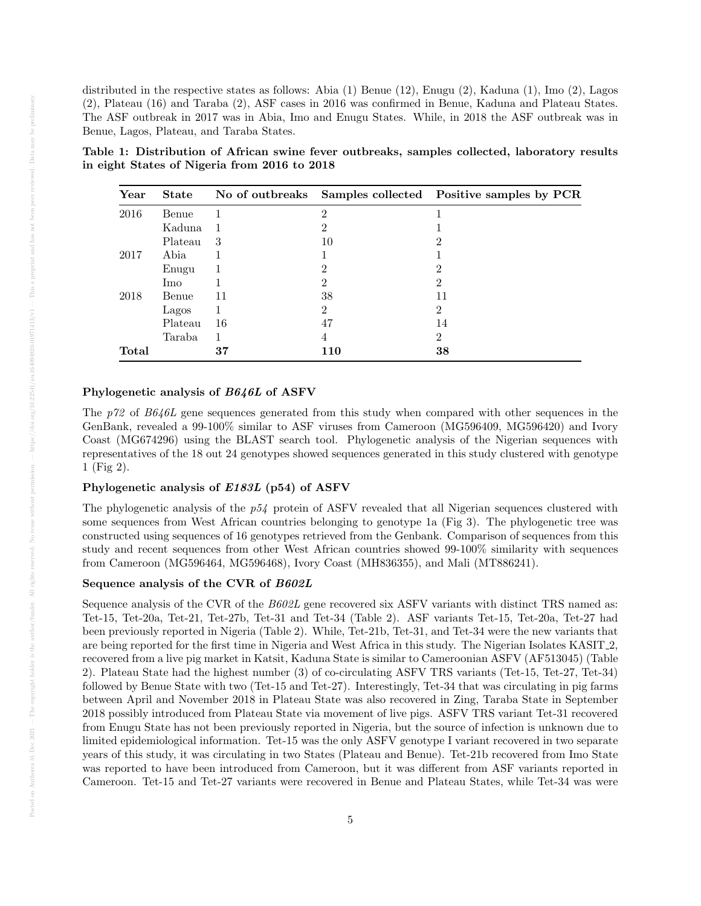distributed in the respective states as follows: Abia (1) Benue (12), Enugu (2), Kaduna (1), Imo (2), Lagos (2), Plateau (16) and Taraba (2), ASF cases in 2016 was confirmed in Benue, Kaduna and Plateau States. The ASF outbreak in 2017 was in Abia, Imo and Enugu States. While, in 2018 the ASF outbreak was in Benue, Lagos, Plateau, and Taraba States.

Table 1: Distribution of African swine fever outbreaks, samples collected, laboratory results in eight States of Nigeria from 2016 to 2018

| Year  | <b>State</b> |                |     | No of outbreaks Samples collected Positive samples by PCR |
|-------|--------------|----------------|-----|-----------------------------------------------------------|
| 2016  | Benue        |                | 2   |                                                           |
|       | Kaduna       | $\overline{1}$ | 2   |                                                           |
|       | Plateau      | -3             | 10  | 2                                                         |
| 2017  | Abia         |                |     |                                                           |
|       | Enugu        |                | 2   | 2                                                         |
|       | Imo          |                | 2   | 2                                                         |
| 2018  | Benue        | 11             | 38  | 11                                                        |
|       | Lagos        | 1              | 2   | $\mathfrak{D}$                                            |
|       | Plateau      | 16             | 47  | 14                                                        |
|       | Taraba       | 1              | 4   | $\mathcal{D}_{\mathcal{L}}$                               |
| Total |              | 37             | 110 | 38                                                        |

## Phylogenetic analysis of B646L of ASFV

The p72 of B646L gene sequences generated from this study when compared with other sequences in the GenBank, revealed a 99-100% similar to ASF viruses from Cameroon (MG596409, MG596420) and Ivory Coast (MG674296) using the BLAST search tool. Phylogenetic analysis of the Nigerian sequences with representatives of the 18 out 24 genotypes showed sequences generated in this study clustered with genotype 1 (Fig 2).

# Phylogenetic analysis of E183L (p54) of ASFV

The phylogenetic analysis of the  $p54$  protein of ASFV revealed that all Nigerian sequences clustered with some sequences from West African countries belonging to genotype 1a (Fig 3). The phylogenetic tree was constructed using sequences of 16 genotypes retrieved from the Genbank. Comparison of sequences from this study and recent sequences from other West African countries showed 99-100% similarity with sequences from Cameroon (MG596464, MG596468), Ivory Coast (MH836355), and Mali (MT886241).

# Sequence analysis of the CVR of B602L

Sequence analysis of the CVR of the  $B602L$  gene recovered six ASFV variants with distinct TRS named as: Tet-15, Tet-20a, Tet-21, Tet-27b, Tet-31 and Tet-34 (Table 2). ASF variants Tet-15, Tet-20a, Tet-27 had been previously reported in Nigeria (Table 2). While, Tet-21b, Tet-31, and Tet-34 were the new variants that are being reported for the first time in Nigeria and West Africa in this study. The Nigerian Isolates KASIT 2, recovered from a live pig market in Katsit, Kaduna State is similar to Cameroonian ASFV (AF513045) (Table 2). Plateau State had the highest number (3) of co-circulating ASFV TRS variants (Tet-15, Tet-27, Tet-34) followed by Benue State with two (Tet-15 and Tet-27). Interestingly, Tet-34 that was circulating in pig farms between April and November 2018 in Plateau State was also recovered in Zing, Taraba State in September 2018 possibly introduced from Plateau State via movement of live pigs. ASFV TRS variant Tet-31 recovered from Enugu State has not been previously reported in Nigeria, but the source of infection is unknown due to limited epidemiological information. Tet-15 was the only ASFV genotype I variant recovered in two separate years of this study, it was circulating in two States (Plateau and Benue). Tet-21b recovered from Imo State was reported to have been introduced from Cameroon, but it was different from ASF variants reported in Cameroon. Tet-15 and Tet-27 variants were recovered in Benue and Plateau States, while Tet-34 was were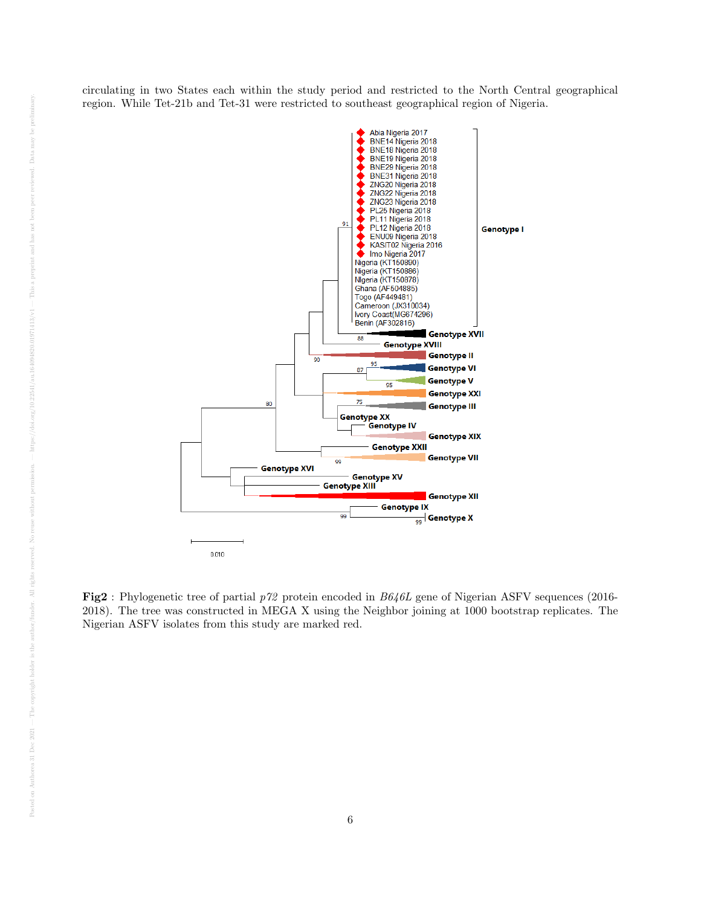circulating in two States each within the study period and restricted to the North Central geographical region. While Tet-21b and Tet-31 were restricted to southeast geographical region of Nigeria.



Fig2 : Phylogenetic tree of partial p72 protein encoded in B646L gene of Nigerian ASFV sequences (2016- 2018). The tree was constructed in MEGA X using the Neighbor joining at 1000 bootstrap replicates. The Nigerian ASFV isolates from this study are marked red.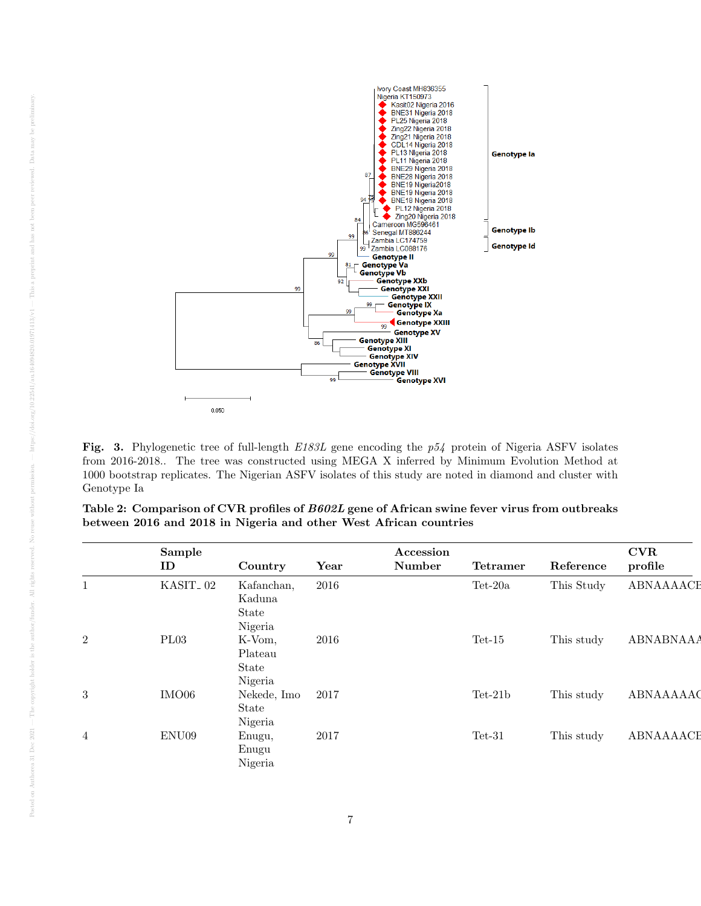

Fig. 3. Phylogenetic tree of full-length E183L gene encoding the p54 protein of Nigeria ASFV isolates from 2016-2018.. The tree was constructed using MEGA X inferred by Minimum Evolution Method at 1000 bootstrap replicates. The Nigerian ASFV isolates of this study are noted in diamond and cluster with Genotype Ia

|                | Sample<br>ID         | Country     | Year | Accession<br>Number | <b>Tetramer</b> | Reference  | <b>CVR</b><br>profile |
|----------------|----------------------|-------------|------|---------------------|-----------------|------------|-----------------------|
|                |                      |             |      |                     |                 |            |                       |
| $\mathbf{1}$   | KASIT <sub>-02</sub> | Kafanchan,  | 2016 |                     | $Tet-20a$       | This Study | ABNAAAACI             |
|                |                      | Kaduna      |      |                     |                 |            |                       |
|                |                      | State       |      |                     |                 |            |                       |
|                |                      | Nigeria     |      |                     |                 |            |                       |
| $\overline{2}$ | PL03                 | K-Vom,      | 2016 |                     | $Tet-15$        | This study | <b>ABNABNAAA</b>      |
|                |                      | Plateau     |      |                     |                 |            |                       |
|                |                      | State       |      |                     |                 |            |                       |
|                |                      | Nigeria     |      |                     |                 |            |                       |
| $\sqrt{3}$     | IMO06                | Nekede, Imo | 2017 |                     | $Tet-21b$       | This study | ABNAAAAAC             |
|                |                      | State       |      |                     |                 |            |                       |
|                |                      | Nigeria     |      |                     |                 |            |                       |
| $\overline{4}$ | ENU09                | Enugu,      | 2017 |                     | $Tet-31$        | This study | ABNAAAACE             |
|                |                      | Enugu       |      |                     |                 |            |                       |
|                |                      | Nigeria     |      |                     |                 |            |                       |

| Table 2: Comparison of CVR profiles of B602L gene of African swine fever virus from outbreaks |  |  |  |  |  |  |
|-----------------------------------------------------------------------------------------------|--|--|--|--|--|--|
| between 2016 and 2018 in Nigeria and other West African countries                             |  |  |  |  |  |  |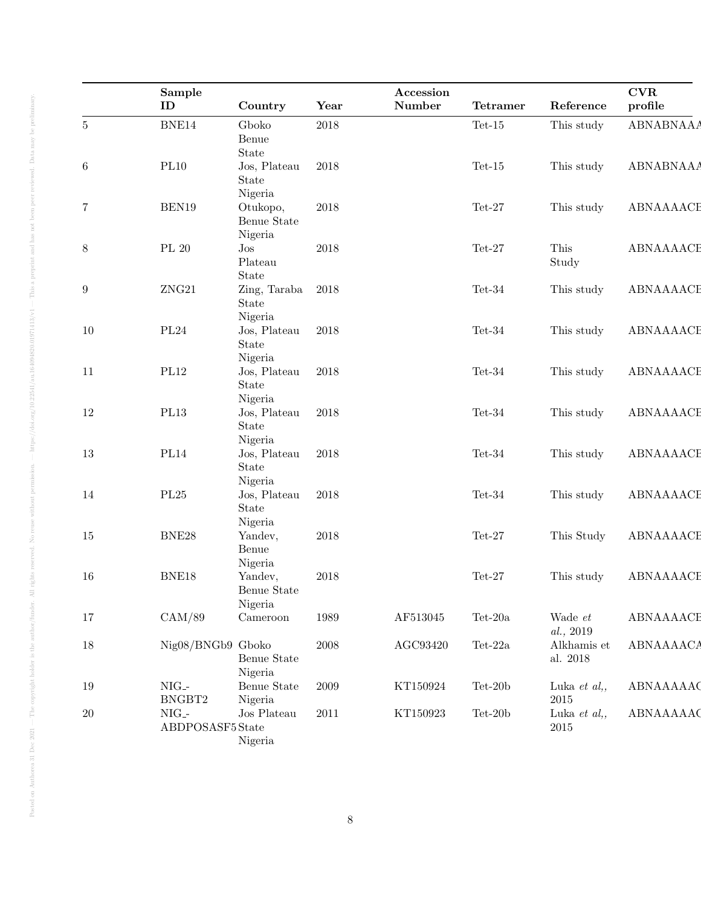|                  | Sample<br>ID                                | Country                            | Year       | Accession<br>Number | <b>Tetramer</b>          | Reference                   | <b>CVR</b><br>profile |
|------------------|---------------------------------------------|------------------------------------|------------|---------------------|--------------------------|-----------------------------|-----------------------|
| $\bf 5$          | BNE14                                       | Gboko<br>Benue<br>State            | 2018       |                     | $\mbox{Tet-15}$          | This study                  | <b>ABNABNAAA</b>      |
| $\,6\,$          | PL10                                        | Jos, Plateau<br>State<br>Nigeria   | $\,2018$   |                     | $Tet-15$                 | This study                  | <b>ABNABNAAA</b>      |
| $\,7$            | BEN19                                       | Otukopo,<br>Benue State<br>Nigeria | $\,2018$   |                     | $Tet-27$                 | This study                  | ABNAAAACE             |
| $8\,$            | $\rm PL$ $20$                               | $\mathrm{Jos}$<br>Plateau<br>State | $\,2018$   |                     | $Tet-27$                 | This<br>Study               | ABNAAAACE             |
| $\boldsymbol{9}$ | ${\rm ZNG21}$                               | Zing, Taraba<br>State<br>Nigeria   | 2018       |                     | $\mbox{ Tet-}34$         | This study                  | ABNAAAACE             |
| 10               | PL24                                        | Jos, Plateau<br>State<br>Nigeria   | $\,2018$   |                     | $Tet-34$                 | This study                  | ABNAAAACE             |
| 11               | PL12                                        | Jos, Plateau<br>State              | $\,2018$   |                     | $Tet-34$                 | This study                  | ABNAAAACE             |
| 12               | PL13                                        | Nigeria<br>Jos, Plateau<br>State   | $\,2018$   |                     | Tet-34                   | This study                  | ABNAAAACE             |
| $13\,$           | $\rm PL14$                                  | Nigeria<br>Jos, Plateau<br>State   | $\,2018$   |                     | $Tet-34$                 | This study                  | ABNAAAACE             |
| 14               | $\rm PL25$                                  | Nigeria<br>Jos, Plateau<br>State   | $\,2018$   |                     | $Tet-34$                 | This study                  | ABNAAAACE             |
| 15               | BNE28                                       | Nigeria<br>Yandev,<br>Benue        | 2018       |                     | $Tet-27$                 | This Study                  | ABNAAAACE             |
| 16               | $\rm BNE18$                                 | Nigeria<br>Yandev,<br>Benue State  | 2018       |                     | $\mbox{Tet-27}$          | This study                  | ABNAAAACE             |
| 17               | CAM/89                                      | Nigeria<br>$C$ ameroon             | 1989       | AF513045            | $\operatorname{Tet-20a}$ | Wade et<br>al., 2019        | ABNAAAACE             |
| 18               | Nig08/BNGb9 Gboko                           | Benue State<br>Nigeria             | $\,2008\,$ | $\rm AGC93420$      | $\mbox{Tet-}22a$         | Alkhamis et<br>al. $2018\,$ | <b>ABNAAAACA</b>      |
| 19               | $NIG$ -<br>BNGBT2                           | Benue State<br>Nigeria             | $\,2009\,$ | KT150924            | $\mbox{Tet-}20b$         | Luka et $al,$<br>$\,2015$   | ABNAAAAAC             |
| 20               | $NIG$ -<br>${\bf ABDPOSAST5}\, {\bf State}$ | ${\rm Jos}$ Plateau<br>Nigeria     | 2011       | KT150923            | $Tet-20b$                | Luka et al,,<br>$\,2015$    | ABNAAAAAC             |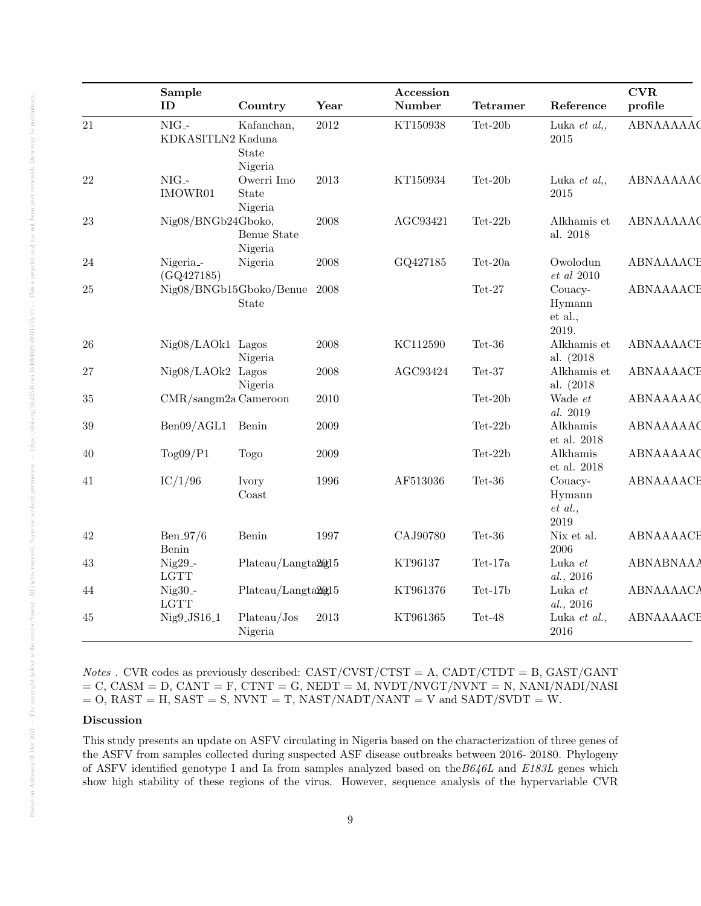|        | Sample<br>ID                       | Country                           | Year       | Accession<br>Number | <b>Tetramer</b>  | Reference                             | CVR<br>profile   |
|--------|------------------------------------|-----------------------------------|------------|---------------------|------------------|---------------------------------------|------------------|
| 21     | $NIG$ -<br>KDKASITLN2 Kaduna       | Kafanchan,<br>State               | $2012\,$   | KT150938            | $\mbox{Tet-}20b$ | Luka et $al,$<br>$2015\,$             | ABNAAAAAC        |
| 22     | $NIG$ -<br>IMOWR01                 | Nigeria<br>Owerri Imo<br>State    | $2013\,$   | KT150934            | Tet-20 $b$       | Luka $et\ al.,$<br>$2015\,$           | ABNAAAAAC        |
| 23     | Nig08/BNGb24Gboko,                 | Nigeria<br>Benue State<br>Nigeria | 2008       | AGC93421            | Tet-22b          | Alkhamis et<br>al. 2018               | ABNAAAAAC        |
| 24     | Nigeria <sub>-</sub><br>(GQ427185) | Nigeria                           | 2008       | GQ427185            | Tet-20a $\,$     | Owolodun<br>$et\,\,al\,\,2010$        | ABNAAAACE        |
| 25     |                                    | Nig08/BNGb15Gboko/Benue<br>State  | 2008       |                     | $\mbox{Tet-27}$  | Couacy-<br>Hymann<br>et al.,<br>2019. | ABNAAAACE        |
| $26\,$ | Nig08/LAOk1 Lagos                  | Nigeria                           | $\,2008\,$ | KC112590            | $Tet-36$         | Alkhamis et<br>al. (2018)             | ABNAAAACE        |
| 27     | $Nig08/LAOk2$ Lagos                | Nigeria                           | 2008       | AGC93424            | $\mbox{ Tet-}37$ | Alkhamis et<br>al. (2018)             | ABNAAAACE        |
| 35     | $CMR/sangm2a$ Cameroon             |                                   | 2010       |                     | Tet-20b          | Wade et<br>al. 2019                   | ABNAAAAAC        |
| 39     | Ben09/AGL1 Benin                   |                                   | $\,2009\,$ |                     | Tet-22b          | Alkhamis<br>et al. $2018$             | ABNAAAAAC        |
| 40     | Tog09/P1                           | Togo                              | $\,2009\,$ |                     | $Tet-22b$        | Alkhamis<br>$et$ al. 2018             | ABNAAAAAC        |
| 41     | IC/1/96                            | Ivory<br>$\mathrm{Coast}$         | 1996       | AF513036            | $\mbox{ Tet-}36$ | Couacy-<br>Hymann<br>et al.,<br>2019  | ABNAAAACE        |
| 42     | $Ben_97/6$<br>Benin                | Benin                             | 1997       | CAJ90780            | $Tet-36$         | Nix et al.<br>$\,2006\,$              | ABNAAAACE        |
| 43     | $Nig29$ -<br>$_{\rm LGTT}$         | Plateau/Langta20015               |            | KT96137             | Tet-17a          | Luka $et$<br>al., 2016                | <b>ABNABNAAA</b> |
| 44     | $Nig30$ -<br>$_{\rm LGTT}$         | Plateau/Langta20215               |            | KT961376            | $Tet-17b$        | Luka $et$<br>al., 2016                | <b>ABNAAAACA</b> |
| 45     | Nig9_JS16_1                        | Plateau/Jos<br>Nigeria            | 2013       | KT961365            | $Tet-48$         | Luka et al.,<br>2016                  | ABNAAAACE        |

*Notes* . CVR codes as previously described:  $CAST/CVST/CTST = A$ ,  $CADT/CTDT = B$ ,  $GAST/GANT$  $=$  C, CASM  $=$  D, CANT  $=$  F, CTNT  $=$  G, NEDT  $=$  M, NVDT/NVGT/NVNT  $=$  N, NANI/NADI/NASI  $=$  O, RAST = H, SAST = S, NVNT = T, NAST/NADT/NANT = V and SADT/SVDT = W.

# Discussion

This study presents an update on ASFV circulating in Nigeria based on the characterization of three genes of the ASFV from samples collected during suspected ASF disease outbreaks between 2016- 20180. Phylogeny of ASFV identified genotype I and Ia from samples analyzed based on the  $B646L$  and  $E183L$  genes which show high stability of these regions of the virus. However, sequence analysis of the hypervariable CVR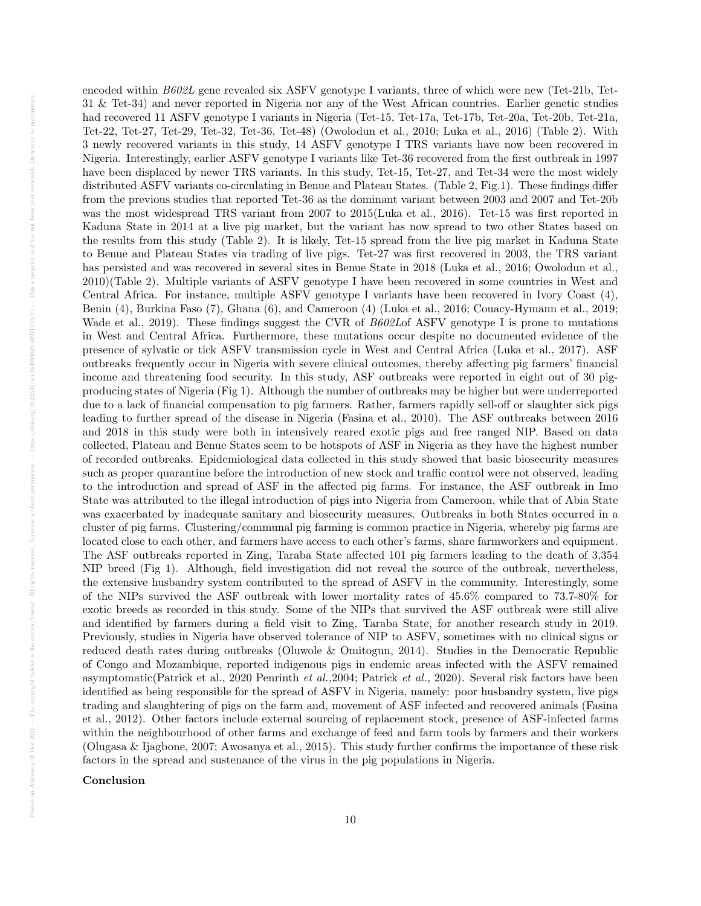encoded within B602L gene revealed six ASFV genotype I variants, three of which were new (Tet-21b, Tet-31 & Tet-34) and never reported in Nigeria nor any of the West African countries. Earlier genetic studies had recovered 11 ASFV genotype I variants in Nigeria (Tet-15, Tet-17a, Tet-17b, Tet-20a, Tet-20b, Tet-21a, Tet-22, Tet-27, Tet-29, Tet-32, Tet-36, Tet-48) (Owolodun et al., 2010; Luka et al., 2016) (Table 2). With 3 newly recovered variants in this study, 14 ASFV genotype I TRS variants have now been recovered in Nigeria. Interestingly, earlier ASFV genotype I variants like Tet-36 recovered from the first outbreak in 1997 have been displaced by newer TRS variants. In this study, Tet-15, Tet-27, and Tet-34 were the most widely distributed ASFV variants co-circulating in Benue and Plateau States. (Table 2, Fig.1). These findings differ from the previous studies that reported Tet-36 as the dominant variant between 2003 and 2007 and Tet-20b was the most widespread TRS variant from 2007 to 2015(Luka et al., 2016). Tet-15 was first reported in Kaduna State in 2014 at a live pig market, but the variant has now spread to two other States based on the results from this study (Table 2). It is likely, Tet-15 spread from the live pig market in Kaduna State to Benue and Plateau States via trading of live pigs. Tet-27 was first recovered in 2003, the TRS variant has persisted and was recovered in several sites in Benue State in 2018 (Luka et al., 2016; Owolodun et al., 2010)(Table 2). Multiple variants of ASFV genotype I have been recovered in some countries in West and Central Africa. For instance, multiple ASFV genotype I variants have been recovered in Ivory Coast (4), Benin (4), Burkina Faso (7), Ghana (6), and Cameroon (4) (Luka et al., 2016; Couacy-Hymann et al., 2019; Wade et al., 2019). These findings suggest the CVR of B602Lof ASFV genotype I is prone to mutations in West and Central Africa. Furthermore, these mutations occur despite no documented evidence of the presence of sylvatic or tick ASFV transmission cycle in West and Central Africa (Luka et al., 2017). ASF outbreaks frequently occur in Nigeria with severe clinical outcomes, thereby affecting pig farmers' financial income and threatening food security. In this study, ASF outbreaks were reported in eight out of 30 pigproducing states of Nigeria (Fig 1). Although the number of outbreaks may be higher but were underreported due to a lack of financial compensation to pig farmers. Rather, farmers rapidly sell-off or slaughter sick pigs leading to further spread of the disease in Nigeria (Fasina et al., 2010). The ASF outbreaks between 2016 and 2018 in this study were both in intensively reared exotic pigs and free ranged NIP. Based on data collected, Plateau and Benue States seem to be hotspots of ASF in Nigeria as they have the highest number of recorded outbreaks. Epidemiological data collected in this study showed that basic biosecurity measures such as proper quarantine before the introduction of new stock and traffic control were not observed, leading to the introduction and spread of ASF in the affected pig farms. For instance, the ASF outbreak in Imo State was attributed to the illegal introduction of pigs into Nigeria from Cameroon, while that of Abia State was exacerbated by inadequate sanitary and biosecurity measures. Outbreaks in both States occurred in a cluster of pig farms. Clustering/communal pig farming is common practice in Nigeria, whereby pig farms are located close to each other, and farmers have access to each other's farms, share farmworkers and equipment. The ASF outbreaks reported in Zing, Taraba State affected 101 pig farmers leading to the death of 3,354 NIP breed (Fig 1). Although, field investigation did not reveal the source of the outbreak, nevertheless, the extensive husbandry system contributed to the spread of ASFV in the community. Interestingly, some of the NIPs survived the ASF outbreak with lower mortality rates of 45.6% compared to 73.7-80% for exotic breeds as recorded in this study. Some of the NIPs that survived the ASF outbreak were still alive and identified by farmers during a field visit to Zing, Taraba State, for another research study in 2019. Previously, studies in Nigeria have observed tolerance of NIP to ASFV, sometimes with no clinical signs or reduced death rates during outbreaks (Oluwole & Omitogun, 2014). Studies in the Democratic Republic of Congo and Mozambique, reported indigenous pigs in endemic areas infected with the ASFV remained asymptomatic(Patrick et al., 2020 Penrinth et al.,2004; Patrick et al., 2020). Several risk factors have been identified as being responsible for the spread of ASFV in Nigeria, namely: poor husbandry system, live pigs trading and slaughtering of pigs on the farm and, movement of ASF infected and recovered animals (Fasina et al., 2012). Other factors include external sourcing of replacement stock, presence of ASF-infected farms within the neighbourhood of other farms and exchange of feed and farm tools by farmers and their workers (Olugasa & Ijagbone, 2007; Awosanya et al., 2015). This study further confirms the importance of these risk factors in the spread and sustenance of the virus in the pig populations in Nigeria.

Conclusion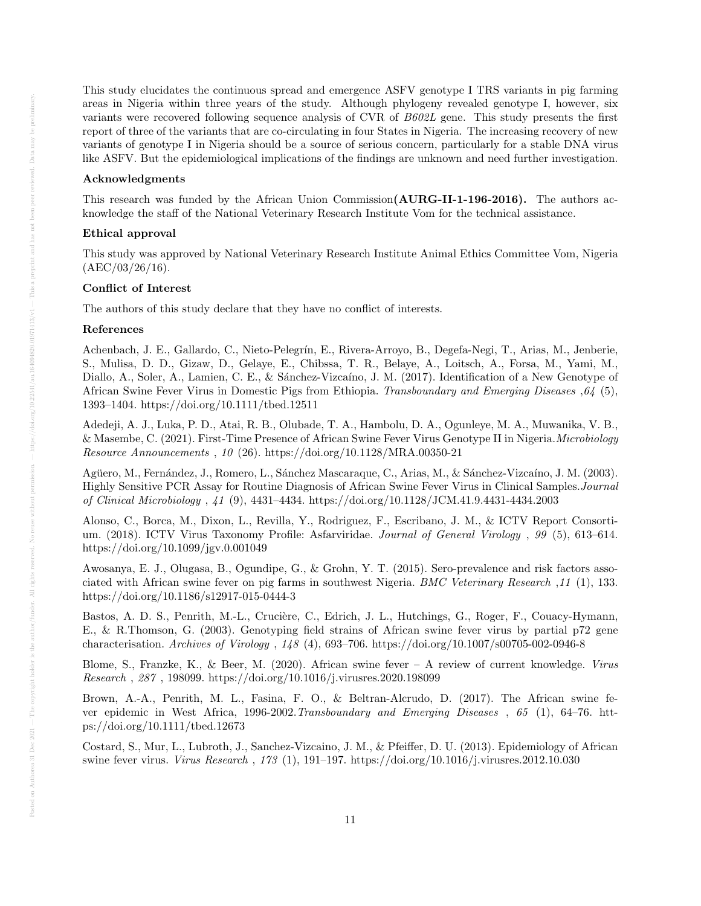This study elucidates the continuous spread and emergence ASFV genotype I TRS variants in pig farming areas in Nigeria within three years of the study. Although phylogeny revealed genotype I, however, six variants were recovered following sequence analysis of CVR of B602L gene. This study presents the first report of three of the variants that are co-circulating in four States in Nigeria. The increasing recovery of new variants of genotype I in Nigeria should be a source of serious concern, particularly for a stable DNA virus like ASFV. But the epidemiological implications of the findings are unknown and need further investigation.

## Acknowledgments

This research was funded by the African Union Commission(AURG-II-1-196-2016). The authors acknowledge the staff of the National Veterinary Research Institute Vom for the technical assistance.

## Ethical approval

This study was approved by National Veterinary Research Institute Animal Ethics Committee Vom, Nigeria  $(AEC/03/26/16).$ 

## Conflict of Interest

The authors of this study declare that they have no conflict of interests.

#### References

Achenbach, J. E., Gallardo, C., Nieto-Pelegrín, E., Rivera-Arroyo, B., Degefa-Negi, T., Arias, M., Jenberie, S., Mulisa, D. D., Gizaw, D., Gelaye, E., Chibssa, T. R., Belaye, A., Loitsch, A., Forsa, M., Yami, M., Diallo, A., Soler, A., Lamien, C. E., & Sánchez-Vizcaíno, J. M. (2017). Identification of a New Genotype of African Swine Fever Virus in Domestic Pigs from Ethiopia. Transboundary and Emerging Diseases ,64 (5), 1393–1404. https://doi.org/10.1111/tbed.12511

Adedeji, A. J., Luka, P. D., Atai, R. B., Olubade, T. A., Hambolu, D. A., Ogunleye, M. A., Muwanika, V. B., & Masembe, C. (2021). First-Time Presence of African Swine Fever Virus Genotype II in Nigeria.Microbiology Resource Announcements , 10 (26). https://doi.org/10.1128/MRA.00350-21

Agüero, M., Fernández, J., Romero, L., Sánchez Mascaraque, C., Arias, M., & Sánchez-Vizcaíno, J. M. (2003). Highly Sensitive PCR Assay for Routine Diagnosis of African Swine Fever Virus in Clinical Samples.Journal of Clinical Microbiology , 41 (9), 4431–4434. https://doi.org/10.1128/JCM.41.9.4431-4434.2003

Alonso, C., Borca, M., Dixon, L., Revilla, Y., Rodriguez, F., Escribano, J. M., & ICTV Report Consortium. (2018). ICTV Virus Taxonomy Profile: Asfarviridae. Journal of General Virology , 99 (5), 613–614. https://doi.org/10.1099/jgv.0.001049

Awosanya, E. J., Olugasa, B., Ogundipe, G., & Grohn, Y. T. (2015). Sero-prevalence and risk factors associated with African swine fever on pig farms in southwest Nigeria. BMC Veterinary Research ,11 (1), 133. https://doi.org/10.1186/s12917-015-0444-3

Bastos, A. D. S., Penrith, M.-L., Crucière, C., Edrich, J. L., Hutchings, G., Roger, F., Couacy-Hymann, E., & R.Thomson, G. (2003). Genotyping field strains of African swine fever virus by partial p72 gene characterisation. Archives of Virology , 148 (4), 693–706. https://doi.org/10.1007/s00705-002-0946-8

Blome, S., Franzke, K., & Beer, M. (2020). African swine fever  $-$  A review of current knowledge. Virus Research , 287 , 198099. https://doi.org/10.1016/j.virusres.2020.198099

Brown, A.-A., Penrith, M. L., Fasina, F. O., & Beltran-Alcrudo, D. (2017). The African swine fever epidemic in West Africa, 1996-2002.Transboundary and Emerging Diseases , 65 (1), 64–76. https://doi.org/10.1111/tbed.12673

Costard, S., Mur, L., Lubroth, J., Sanchez-Vizcaino, J. M., & Pfeiffer, D. U. (2013). Epidemiology of African swine fever virus. *Virus Research*, 173 (1), 191–197. https://doi.org/10.1016/j.virusres.2012.10.030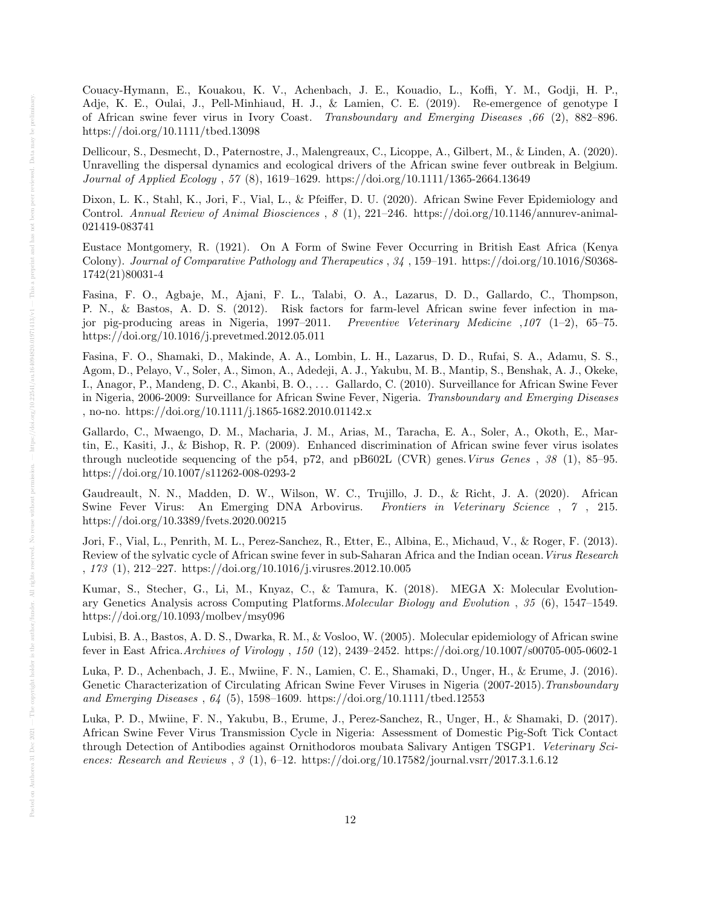Couacy-Hymann, E., Kouakou, K. V., Achenbach, J. E., Kouadio, L., Koffi, Y. M., Godji, H. P., Adje, K. E., Oulai, J., Pell-Minhiaud, H. J., & Lamien, C. E. (2019). Re-emergence of genotype I of African swine fever virus in Ivory Coast. Transboundary and Emerging Diseases ,66 (2), 882–896. https://doi.org/10.1111/tbed.13098

Dellicour, S., Desmecht, D., Paternostre, J., Malengreaux, C., Licoppe, A., Gilbert, M., & Linden, A. (2020). Unravelling the dispersal dynamics and ecological drivers of the African swine fever outbreak in Belgium. Journal of Applied Ecology , 57 (8), 1619–1629. https://doi.org/10.1111/1365-2664.13649

Dixon, L. K., Stahl, K., Jori, F., Vial, L., & Pfeiffer, D. U. (2020). African Swine Fever Epidemiology and Control. Annual Review of Animal Biosciences , 8 (1), 221–246. https://doi.org/10.1146/annurev-animal-021419-083741

Eustace Montgomery, R. (1921). On A Form of Swine Fever Occurring in British East Africa (Kenya Colony). Journal of Comparative Pathology and Therapeutics , 34 , 159–191. https://doi.org/10.1016/S0368- 1742(21)80031-4

Fasina, F. O., Agbaje, M., Ajani, F. L., Talabi, O. A., Lazarus, D. D., Gallardo, C., Thompson, P. N., & Bastos, A. D. S. (2012). Risk factors for farm-level African swine fever infection in major pig-producing areas in Nigeria, 1997–2011. Preventive Veterinary Medicine  $.107$  (1–2), 65–75. https://doi.org/10.1016/j.prevetmed.2012.05.011

Fasina, F. O., Shamaki, D., Makinde, A. A., Lombin, L. H., Lazarus, D. D., Rufai, S. A., Adamu, S. S., Agom, D., Pelayo, V., Soler, A., Simon, A., Adedeji, A. J., Yakubu, M. B., Mantip, S., Benshak, A. J., Okeke, I., Anagor, P., Mandeng, D. C., Akanbi, B. O., . . . Gallardo, C. (2010). Surveillance for African Swine Fever in Nigeria, 2006-2009: Surveillance for African Swine Fever, Nigeria. Transboundary and Emerging Diseases , no-no. https://doi.org/10.1111/j.1865-1682.2010.01142.x

Gallardo, C., Mwaengo, D. M., Macharia, J. M., Arias, M., Taracha, E. A., Soler, A., Okoth, E., Martin, E., Kasiti, J., & Bishop, R. P. (2009). Enhanced discrimination of African swine fever virus isolates through nucleotide sequencing of the p54, p72, and pB602L (CVR) genes.Virus Genes , 38 (1), 85–95. https://doi.org/10.1007/s11262-008-0293-2

Gaudreault, N. N., Madden, D. W., Wilson, W. C., Trujillo, J. D., & Richt, J. A. (2020). African Swine Fever Virus: An Emerging DNA Arbovirus. *Frontiers in Veterinary Science*, 7, 215. https://doi.org/10.3389/fvets.2020.00215

Jori, F., Vial, L., Penrith, M. L., Perez-Sanchez, R., Etter, E., Albina, E., Michaud, V., & Roger, F. (2013). Review of the sylvatic cycle of African swine fever in sub-Saharan Africa and the Indian ocean.Virus Research , 173 (1), 212–227. https://doi.org/10.1016/j.virusres.2012.10.005

Kumar, S., Stecher, G., Li, M., Knyaz, C., & Tamura, K. (2018). MEGA X: Molecular Evolutionary Genetics Analysis across Computing Platforms.Molecular Biology and Evolution , 35 (6), 1547–1549. https://doi.org/10.1093/molbev/msy096

Lubisi, B. A., Bastos, A. D. S., Dwarka, R. M., & Vosloo, W. (2005). Molecular epidemiology of African swine fever in East Africa.Archives of Virology , 150 (12), 2439–2452. https://doi.org/10.1007/s00705-005-0602-1

Luka, P. D., Achenbach, J. E., Mwiine, F. N., Lamien, C. E., Shamaki, D., Unger, H., & Erume, J. (2016). Genetic Characterization of Circulating African Swine Fever Viruses in Nigeria (2007-2015). Transboundary and Emerging Diseases , 64 (5), 1598–1609. https://doi.org/10.1111/tbed.12553

Luka, P. D., Mwiine, F. N., Yakubu, B., Erume, J., Perez-Sanchez, R., Unger, H., & Shamaki, D. (2017). African Swine Fever Virus Transmission Cycle in Nigeria: Assessment of Domestic Pig-Soft Tick Contact through Detection of Antibodies against Ornithodoros moubata Salivary Antigen TSGP1. Veterinary Sciences: Research and Reviews , 3 (1), 6–12. https://doi.org/10.17582/journal.vsrr/2017.3.1.6.12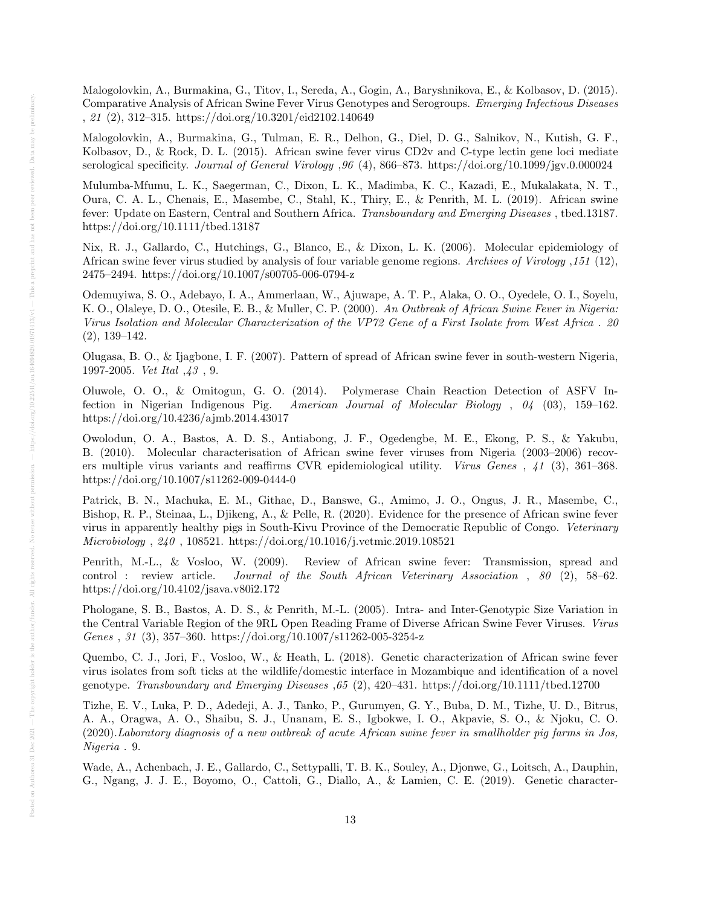Malogolovkin, A., Burmakina, G., Titov, I., Sereda, A., Gogin, A., Baryshnikova, E., & Kolbasov, D. (2015). Comparative Analysis of African Swine Fever Virus Genotypes and Serogroups. Emerging Infectious Diseases , 21 (2), 312–315. https://doi.org/10.3201/eid2102.140649

Malogolovkin, A., Burmakina, G., Tulman, E. R., Delhon, G., Diel, D. G., Salnikov, N., Kutish, G. F., Kolbasov, D., & Rock, D. L. (2015). African swine fever virus CD2v and C-type lectin gene loci mediate serological specificity. Journal of General Virology ,96 (4), 866–873. https://doi.org/10.1099/jgv.0.000024

Mulumba-Mfumu, L. K., Saegerman, C., Dixon, L. K., Madimba, K. C., Kazadi, E., Mukalakata, N. T., Oura, C. A. L., Chenais, E., Masembe, C., Stahl, K., Thiry, E., & Penrith, M. L. (2019). African swine fever: Update on Eastern, Central and Southern Africa. Transboundary and Emerging Diseases , tbed.13187. https://doi.org/10.1111/tbed.13187

Nix, R. J., Gallardo, C., Hutchings, G., Blanco, E., & Dixon, L. K. (2006). Molecular epidemiology of African swine fever virus studied by analysis of four variable genome regions. Archives of Virology ,151 (12), 2475–2494. https://doi.org/10.1007/s00705-006-0794-z

Odemuyiwa, S. O., Adebayo, I. A., Ammerlaan, W., Ajuwape, A. T. P., Alaka, O. O., Oyedele, O. I., Soyelu, K. O., Olaleye, D. O., Otesile, E. B., & Muller, C. P. (2000). An Outbreak of African Swine Fever in Nigeria: Virus Isolation and Molecular Characterization of the VP72 Gene of a First Isolate from West Africa . 20 (2), 139–142.

Olugasa, B. O., & Ijagbone, I. F. (2007). Pattern of spread of African swine fever in south-western Nigeria, 1997-2005. Vet Ital ,43 , 9.

Oluwole, O. O., & Omitogun, G. O. (2014). Polymerase Chain Reaction Detection of ASFV Infection in Nigerian Indigenous Pig. American Journal of Molecular Biology , 04 (03), 159–162. https://doi.org/10.4236/ajmb.2014.43017

Owolodun, O. A., Bastos, A. D. S., Antiabong, J. F., Ogedengbe, M. E., Ekong, P. S., & Yakubu, B. (2010). Molecular characterisation of African swine fever viruses from Nigeria (2003–2006) recovers multiple virus variants and reaffirms CVR epidemiological utility. Virus Genes , 41 (3), 361–368. https://doi.org/10.1007/s11262-009-0444-0

Patrick, B. N., Machuka, E. M., Githae, D., Banswe, G., Amimo, J. O., Ongus, J. R., Masembe, C., Bishop, R. P., Steinaa, L., Djikeng, A., & Pelle, R. (2020). Evidence for the presence of African swine fever virus in apparently healthy pigs in South-Kivu Province of the Democratic Republic of Congo. Veterinary Microbiology , 240 , 108521. https://doi.org/10.1016/j.vetmic.2019.108521

Penrith, M.-L., & Vosloo, W. (2009). Review of African swine fever: Transmission, spread and control : review article. Journal of the South African Veterinary Association , 80 (2), 58–62. https://doi.org/10.4102/jsava.v80i2.172

Phologane, S. B., Bastos, A. D. S., & Penrith, M.-L. (2005). Intra- and Inter-Genotypic Size Variation in the Central Variable Region of the 9RL Open Reading Frame of Diverse African Swine Fever Viruses. Virus Genes , 31 (3), 357–360. https://doi.org/10.1007/s11262-005-3254-z

Quembo, C. J., Jori, F., Vosloo, W., & Heath, L. (2018). Genetic characterization of African swine fever virus isolates from soft ticks at the wildlife/domestic interface in Mozambique and identification of a novel genotype. Transboundary and Emerging Diseases ,65 (2), 420–431. https://doi.org/10.1111/tbed.12700

Tizhe, E. V., Luka, P. D., Adedeji, A. J., Tanko, P., Gurumyen, G. Y., Buba, D. M., Tizhe, U. D., Bitrus, A. A., Oragwa, A. O., Shaibu, S. J., Unanam, E. S., Igbokwe, I. O., Akpavie, S. O., & Njoku, C. O. (2020).Laboratory diagnosis of a new outbreak of acute African swine fever in smallholder pig farms in Jos, Nigeria . 9.

Wade, A., Achenbach, J. E., Gallardo, C., Settypalli, T. B. K., Souley, A., Djonwe, G., Loitsch, A., Dauphin, G., Ngang, J. J. E., Boyomo, O., Cattoli, G., Diallo, A., & Lamien, C. E. (2019). Genetic character